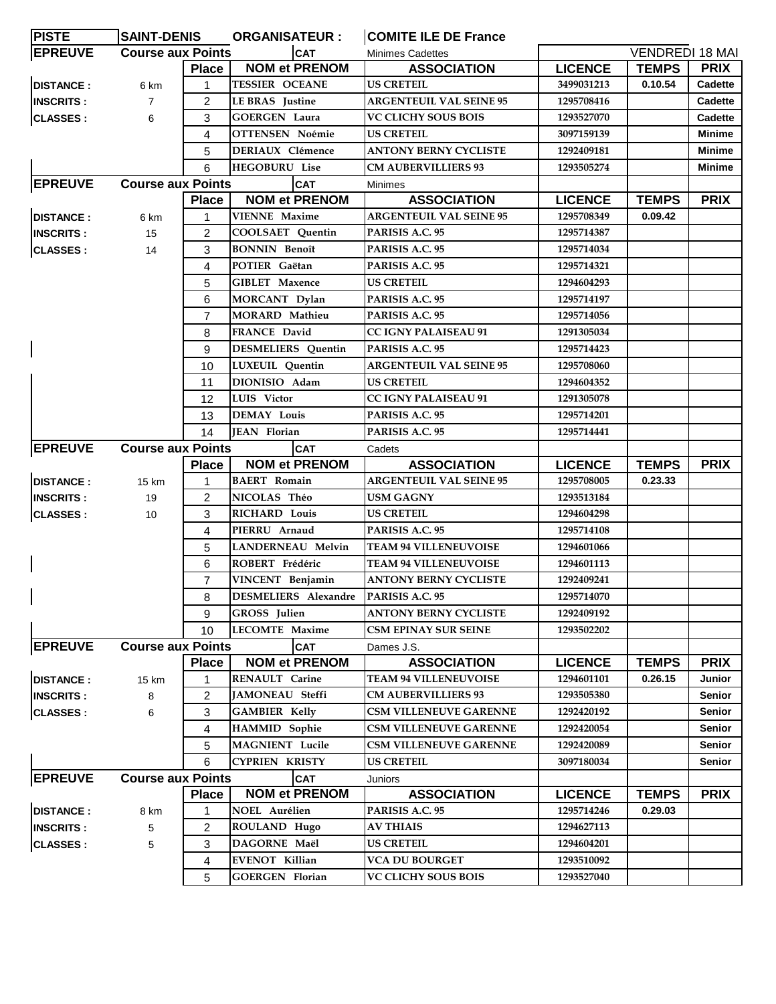| <b>PISTE</b>     |                            | <b>SAINT-DENIS</b> |                                                                                                                                                                                                                                       | <b>ORGANISATEUR:</b> | <b>COMITE ILE DE France</b>          |                |                        |               |  |  |
|------------------|----------------------------|--------------------|---------------------------------------------------------------------------------------------------------------------------------------------------------------------------------------------------------------------------------------|----------------------|--------------------------------------|----------------|------------------------|---------------|--|--|
| <b>EPREUVE</b>   | <b>Course aux Points</b>   |                    | <b>CAT</b>                                                                                                                                                                                                                            |                      | <b>Minimes Cadettes</b>              |                | <b>VENDREDI 18 MAI</b> |               |  |  |
|                  |                            | Place              | <b>NOM et PRENOM</b>                                                                                                                                                                                                                  |                      | <b>ASSOCIATION</b>                   | <b>LICENCE</b> | <b>TEMPS</b>           | <b>PRIX</b>   |  |  |
| <b>DISTANCE:</b> | 6 km                       | 1                  | <b>TESSIER OCEANE</b>                                                                                                                                                                                                                 |                      | <b>US CRETEIL</b>                    | 3499031213     | 0.10.54                | Cadette       |  |  |
| <b>INSCRITS:</b> | $\overline{7}$             | 2                  | <b>LE BRAS</b> Justine                                                                                                                                                                                                                |                      | <b>ARGENTEUIL VAL SEINE 95</b>       | 1295708416     |                        | Cadette       |  |  |
| <b>CLASSES:</b>  | 6                          | 3                  | <b>GOERGEN Laura</b>                                                                                                                                                                                                                  |                      | <b>VC CLICHY SOUS BOIS</b>           | 1293527070     |                        | Cadette       |  |  |
|                  |                            | 4                  | <b>OTTENSEN Noémie</b>                                                                                                                                                                                                                |                      | <b>US CRETEIL</b>                    | 3097159139     |                        | <b>Minime</b> |  |  |
|                  |                            | 5                  | <b>DERIAUX Clémence</b>                                                                                                                                                                                                               |                      | <b>ANTONY BERNY CYCLISTE</b>         | 1292409181     |                        | Minime        |  |  |
|                  |                            | 6                  | <b>HEGOBURU Lise</b>                                                                                                                                                                                                                  |                      | <b>CM AUBERVILLIERS 93</b>           | 1293505274     |                        | Minime        |  |  |
| <b>EPREUVE</b>   | <b>Course aux Points</b>   |                    | <b>CAT</b>                                                                                                                                                                                                                            |                      | Minimes                              |                |                        |               |  |  |
|                  |                            | <b>Place</b>       | <b>NOM et PRENOM</b>                                                                                                                                                                                                                  |                      | <b>ASSOCIATION</b>                   | <b>LICENCE</b> | <b>TEMPS</b>           | <b>PRIX</b>   |  |  |
| <b>DISTANCE:</b> | 6 km                       |                    | <b>VIENNE</b> Maxime                                                                                                                                                                                                                  |                      | <b>ARGENTEUIL VAL SEINE 95</b>       | 1295708349     | 0.09.42                |               |  |  |
| <b>INSCRITS:</b> | 15                         | $\overline{2}$     | <b>COOLSAET</b> Quentin                                                                                                                                                                                                               |                      | PARISIS A.C. 95                      | 1295714387     |                        |               |  |  |
| <b>CLASSES:</b>  | 14                         | 3                  | <b>BONNIN</b> Benoît<br>POTIER Gaëtan<br><b>GIBLET Maxence</b><br>MORCANT Dylan<br><b>MORARD</b> Mathieu<br><b>FRANCE David</b><br><b>DESMELIERS</b> Quentin<br>LUXEUIL Quentin<br>DIONISIO Adam<br>LUIS Victor<br><b>DEMAY Louis</b> |                      | PARISIS A.C. 95                      | 1295714034     |                        |               |  |  |
|                  |                            | 4                  |                                                                                                                                                                                                                                       |                      | PARISIS A.C. 95                      | 1295714321     |                        |               |  |  |
|                  |                            | 5                  |                                                                                                                                                                                                                                       |                      | <b>US CRETEIL</b>                    | 1294604293     |                        |               |  |  |
|                  |                            | 6                  |                                                                                                                                                                                                                                       |                      | PARISIS A.C. 95                      | 1295714197     |                        |               |  |  |
|                  |                            | $\overline{7}$     |                                                                                                                                                                                                                                       |                      | PARISIS A.C. 95                      | 1295714056     |                        |               |  |  |
|                  |                            | 8                  |                                                                                                                                                                                                                                       |                      | <b>CC IGNY PALAISEAU 91</b>          | 1291305034     |                        |               |  |  |
|                  |                            | 9                  |                                                                                                                                                                                                                                       |                      | PARISIS A.C. 95                      | 1295714423     |                        |               |  |  |
|                  |                            | 10                 |                                                                                                                                                                                                                                       |                      | <b>ARGENTEUIL VAL SEINE 95</b>       | 1295708060     |                        |               |  |  |
|                  |                            | 11                 |                                                                                                                                                                                                                                       |                      | <b>US CRETEIL</b>                    | 1294604352     |                        |               |  |  |
|                  |                            | 12                 |                                                                                                                                                                                                                                       |                      | <b>CC IGNY PALAISEAU 91</b>          | 1291305078     |                        |               |  |  |
|                  |                            | 13                 |                                                                                                                                                                                                                                       |                      | PARISIS A.C. 95                      | 1295714201     |                        |               |  |  |
|                  |                            | 14                 | JEAN Florian                                                                                                                                                                                                                          |                      | PARISIS A.C. 95                      | 1295714441     |                        |               |  |  |
| <b>EPREUVE</b>   | <b>Course aux Points</b>   |                    | <b>CAT</b>                                                                                                                                                                                                                            |                      |                                      |                |                        |               |  |  |
|                  |                            | <b>Place</b>       | <b>NOM et PRENOM</b>                                                                                                                                                                                                                  |                      | Cadets<br><b>ASSOCIATION</b>         | <b>LICENCE</b> | <b>TEMPS</b>           | <b>PRIX</b>   |  |  |
|                  |                            |                    | <b>BAERT</b> Romain                                                                                                                                                                                                                   |                      | <b>ARGENTEUIL VAL SEINE 95</b>       | 1295708005     | 0.23.33                |               |  |  |
| <b>DISTANCE:</b> | 15 km                      | 1                  |                                                                                                                                                                                                                                       |                      | <b>USM GAGNY</b>                     |                |                        |               |  |  |
| <b>INSCRITS:</b> | 19                         | 2                  | NICOLAS Théo<br><b>RICHARD Louis</b><br>PIERRU Arnaud<br><b>LANDERNEAU Melvin</b>                                                                                                                                                     |                      |                                      | 1293513184     |                        |               |  |  |
| <b>CLASSES:</b>  | 10                         | 3                  |                                                                                                                                                                                                                                       |                      | <b>US CRETEIL</b><br>PARISIS A.C. 95 | 1294604298     |                        |               |  |  |
|                  |                            | 4                  |                                                                                                                                                                                                                                       |                      |                                      | 1295714108     |                        |               |  |  |
|                  |                            | 5                  |                                                                                                                                                                                                                                       |                      | <b>TEAM 94 VILLENEUVOISE</b>         | 1294601066     |                        |               |  |  |
|                  |                            | 6                  | ROBERT Frédéric                                                                                                                                                                                                                       |                      | <b>TEAM 94 VILLENEUVOISE</b>         | 1294601113     |                        |               |  |  |
|                  |                            | 7                  | VINCENT Benjamin<br>DESMELIERS Alexandre PARISIS A.C. 95                                                                                                                                                                              |                      | ANTONY BERNY CYCLISTE                | 1292409241     |                        |               |  |  |
|                  |                            | 8                  |                                                                                                                                                                                                                                       |                      |                                      | 1295714070     |                        |               |  |  |
|                  |                            | GROSS Julien<br>9  |                                                                                                                                                                                                                                       |                      | <b>ANTONY BERNY CYCLISTE</b>         | 1292409192     |                        |               |  |  |
|                  |                            | 10                 | <b>LECOMTE Maxime</b>                                                                                                                                                                                                                 |                      | <b>CSM EPINAY SUR SEINE</b>          | 1293502202     |                        |               |  |  |
| <b>EPREUVE</b>   | <b>Course aux Points</b>   |                    | <b>CAT</b>                                                                                                                                                                                                                            |                      | Dames J.S.                           |                |                        |               |  |  |
|                  |                            | <b>Place</b>       | <b>NOM et PRENOM</b>                                                                                                                                                                                                                  |                      | <b>ASSOCIATION</b>                   | <b>LICENCE</b> | <b>TEMPS</b>           | <b>PRIX</b>   |  |  |
| <b>DISTANCE:</b> | 15 km                      |                    | RENAULT Carine                                                                                                                                                                                                                        |                      | <b>TEAM 94 VILLENEUVOISE</b>         | 1294601101     | 0.26.15                | Junior        |  |  |
| <b>INSCRITS:</b> | 8                          | 2                  | JAMONEAU Steffi                                                                                                                                                                                                                       |                      | <b>CM AUBERVILLIERS 93</b>           | 1293505380     |                        | <b>Senior</b> |  |  |
| <b>CLASSES:</b>  | 6                          | 3                  | <b>GAMBIER Kelly</b>                                                                                                                                                                                                                  |                      | <b>CSM VILLENEUVE GARENNE</b>        | 1292420192     |                        | Senior        |  |  |
|                  |                            | 4                  | <b>HAMMID</b> Sophie                                                                                                                                                                                                                  |                      | <b>CSM VILLENEUVE GARENNE</b>        | 1292420054     |                        | Senior        |  |  |
|                  |                            | 5                  | <b>MAGNIENT</b> Lucile                                                                                                                                                                                                                |                      | <b>CSM VILLENEUVE GARENNE</b>        | 1292420089     |                        | Senior        |  |  |
|                  | <b>CYPRIEN KRISTY</b><br>6 |                    |                                                                                                                                                                                                                                       | <b>US CRETEIL</b>    | 3097180034                           |                | Senior                 |               |  |  |
| <b>EPREUVE</b>   | <b>Course aux Points</b>   |                    | <b>CAT</b>                                                                                                                                                                                                                            |                      | Juniors                              |                |                        |               |  |  |
|                  |                            | <b>Place</b>       | <b>NOM et PRENOM</b>                                                                                                                                                                                                                  |                      | <b>ASSOCIATION</b>                   | <b>LICENCE</b> | <b>TEMPS</b>           | <b>PRIX</b>   |  |  |
| <b>DISTANCE:</b> | 8 km                       |                    | <b>NOEL Aurélien</b>                                                                                                                                                                                                                  |                      | PARISIS A.C. 95                      | 1295714246     | 0.29.03                |               |  |  |
| <b>INSCRITS:</b> | 5                          | 2                  | ROULAND Hugo                                                                                                                                                                                                                          |                      | <b>AV THIAIS</b>                     | 1294627113     |                        |               |  |  |
| <b>CLASSES:</b>  | 5                          | 3                  | DAGORNE Maël                                                                                                                                                                                                                          |                      | <b>US CRETEIL</b>                    | 1294604201     |                        |               |  |  |
|                  |                            | 4                  | <b>EVENOT Killian</b>                                                                                                                                                                                                                 |                      | <b>VCA DU BOURGET</b>                | 1293510092     |                        |               |  |  |
|                  |                            | 5                  | <b>GOERGEN Florian</b>                                                                                                                                                                                                                |                      | VC CLICHY SOUS BOIS                  | 1293527040     |                        |               |  |  |
|                  |                            |                    |                                                                                                                                                                                                                                       |                      |                                      |                |                        |               |  |  |